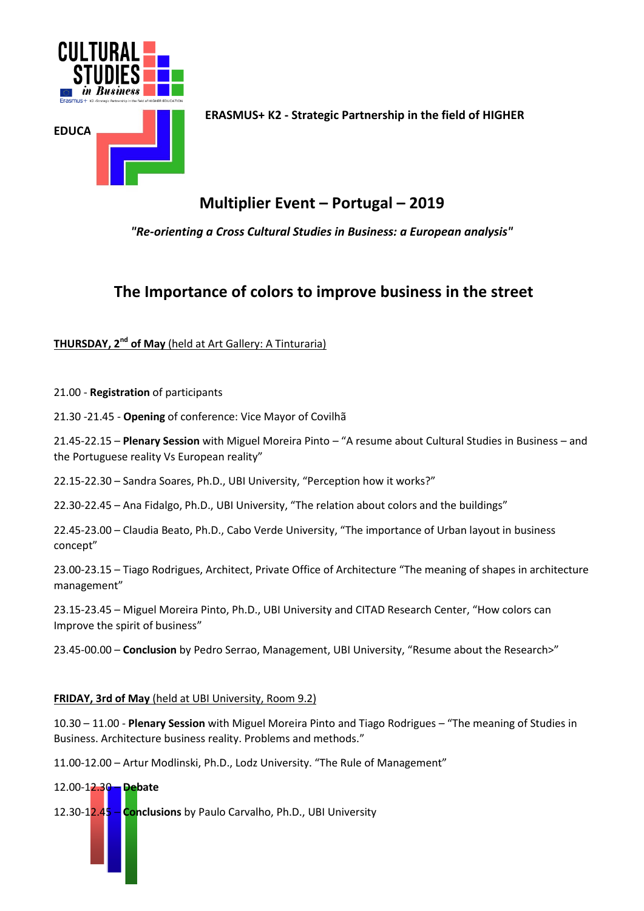

**E ERASMUS+ K2 - Strategic Partnership in the field of HIGHER** 

# **Multiplier Event – Portugal – 2019**

*"Re-orienting a Cross Cultural Studies in Business: a European analysis"*

## **The Importance of colors to improve business in the street**

**THURSDAY, 2nd of May** (held at Art Gallery: A Tinturaria)

21.00 - **Registration** of participants

21.30 -21.45 - **Opening** of conference: Vice Mayor of Covilhã

21.45-22.15 – **Plenary Session** with Miguel Moreira Pinto – "A resume about Cultural Studies in Business – and the Portuguese reality Vs European reality"

22.15-22.30 – Sandra Soares, Ph.D., UBI University, "Perception how it works?"

22.30-22.45 – Ana Fidalgo, Ph.D., UBI University, "The relation about colors and the buildings"

22.45-23.00 – Claudia Beato, Ph.D., Cabo Verde University, "The importance of Urban layout in business concept"

23.00-23.15 – Tiago Rodrigues, Architect, Private Office of Architecture "The meaning of shapes in architecture management"

23.15-23.45 – Miguel Moreira Pinto, Ph.D., UBI University and CITAD Research Center, "How colors can Improve the spirit of business"

23.45-00.00 – **Conclusion** by Pedro Serrao, Management, UBI University, "Resume about the Research>"

#### **FRIDAY, 3rd of May** (held at UBI University, Room 9.2)

10.30 – 11.00 - **Plenary Session** with Miguel Moreira Pinto and Tiago Rodrigues – "The meaning of Studies in Business. Architecture business reality. Problems and methods."

11.00-12.00 – Artur Modlinski, Ph.D., Lodz University. "The Rule of Management"

#### 12.00-12.30 – **Debate**

12.30-12.45 – **Conclusions** by Paulo Carvalho, Ph.D., UBI University